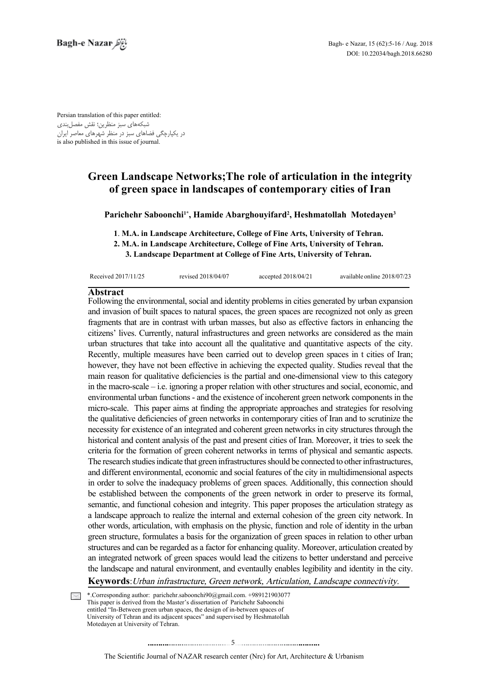Persian translation of this paper entitled: شبکههای سبز منظرین؛ نقش مفصلبندی در یکپارچگی فضاهای سبز در منظر شهرهای معاصر ایران is also published in this issue of journal.

# **Green Landscape Networks; The role of articulation in the integrity** of green space in landscapes of contemporary cities of Iran

Parichehr Saboonchi<sup>1\*</sup>, Hamide Abarghouyifard<sup>2</sup>, Heshmatollah Motedayen<sup>3</sup>

**1. M.A. in Landscape Architecture, College of Fine Arts, University of Tehran.** 

 **2. M.A. in Landscape Architecture. College of Fine Arts. University of Tehran.** 

**3. Landscape Department at College of Fine Arts, University of Tehran.** 

| Received 2017/11/25 | revised 2018/04/07 | accepted $2018/04/21$ | available online 2018/07/23 |
|---------------------|--------------------|-----------------------|-----------------------------|
|                     |                    |                       |                             |

## **Abstract**

Following the environmental, social and identity problems in cities generated by urban expansion and invasion of built spaces to natural spaces, the green spaces are recognized not only as green fragments that are in contrast with urban masses, but also as effective factors in enhancing the citizens' lives. Currently, natural infrastructures and green networks are considered as the main urban structures that take into account all the qualitative and quantitative aspects of the city. Recently, multiple measures have been carried out to develop green spaces in t cities of Iran; however, they have not been effective in achieving the expected quality. Studies reveal that the main reason for qualitative deficiencies is the partial and one-dimensional view to this category in the macro-scale  $-$  i.e. ignoring a proper relation with other structures and social, economic, and environmental urban functions - and the existence of incoherent green network components in the micro-scale. This paper aims at finding the appropriate approaches and strategies for resolving the qualitative deficiencies of green networks in contemporary cities of Iran and to scrutinize the necessity for existence of an integrated and coherent green networks in city structures through the historical and content analysis of the past and present cities of Iran. Moreover, it tries to seek the criteria for the formation of green coherent networks in terms of physical and semantic aspects. The research studies indicate that green infrastructures should be connected to other infrastructures, and different environmental, economic and social features of the city in multidimensional aspects in order to solve the inadequacy problems of green spaces. Additionally, this connection should be established between the components of the green network in order to preserve its formal, semantic, and functional cohesion and integrity. This paper proposes the articulation strategy as a landscape approach to realize the internal and external cohesion of the green city network. In other words, articulation, with emphasis on the physic, function and role of identity in the urban green structure, formulates a basis for the organization of green spaces in relation to other urban structures and can be regarded as a factor for enhancing quality. Moreover, articulation created by an integrated network of green spaces would lead the citizens to better understand and perceive the landscape and natural environment, and eventaully enables legibility and identity in the city.

Keywords: Urban infrastructure, Green network, Articulation, Landscape connectivity.

\*.Corresponding author: parichehr saboonchi90@gmail.com. +989121903077 This paper is derived from the Master's dissertation of Parichehr Saboonchi entitled "In-Between green urban spaces, the design of in-between spaces of University of Tehran and its adjacent spaces" and supervised by Heshmatollah Motedayen at University of Tehran.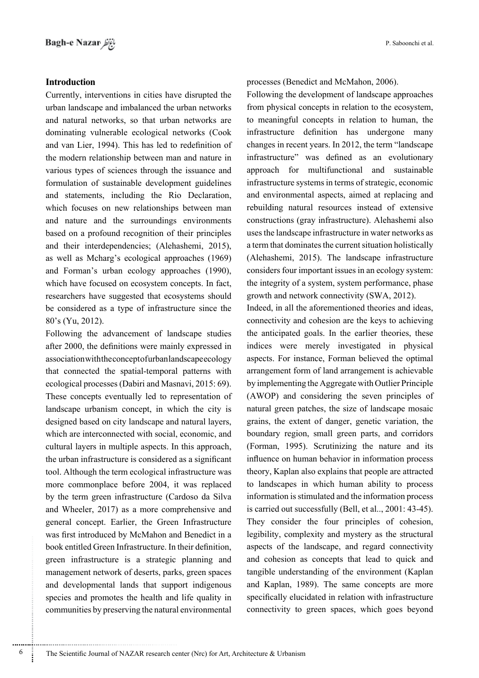## **Introduction**

Currently, interventions in cities have disrupted the urban landscape and imbalanced the urban networks and natural networks, so that urban networks are dominating vulnerable ecological networks (Cook and van Lier, 1994). This has led to redefinition of the modern relationship between man and nature in various types of sciences through the issuance and formulation of sustainable development guidelines and statements, including the Rio Declaration, which focuses on new relationships between man and nature and the surroundings environments based on a profound recognition of their principles and their interdependencies; (Alehashemi, 2015), as well as Mcharg's ecological approaches (1969) and Forman's urban ecology approaches (1990), which have focused on ecosystem concepts. In fact, researchers have suggested that ecosystems should be considered as a type of infrastructure since the  $80's$  (Yu, 2012).

Following the advancement of landscape studies after 2000, the definitions were mainly expressed in association with the concept of urban landscape ecology that connected the spatial-temporal patterns with ecological processes (Dabiri and Masnavi,  $2015: 69$ ). These concepts eventually led to representation of landscape urbanism concept, in which the city is designed based on city landscape and natural layers, which are interconnected with social, economic, and cultural layers in multiple aspects. In this approach, the urban infrastructure is considered as a significant tool. Although the term ecological infrastructure was more commonplace before 2004, it was replaced by the term green infrastructure (Cardoso da Silva and Wheeler,  $2017$ ) as a more comprehensive and general concept. Earlier, the Green Infrastructure was first introduced by McMahon and Benedict in a book entitled Green Infrastructure. In their definition, green infrastructure is a strategic planning and management network of deserts, parks, green spaces and developmental lands that support indigenous species and promotes the health and life quality in communities by preserving the natural environmental

processes (Benedict and McMahon, 2006).

Following the development of landscape approaches from physical concepts in relation to the ecosystem, to meaningful concepts in relation to human, the infrastructure definition has undergone many changes in recent years. In 2012, the term "landscape" infrastructure" was defined as an evolutionary approach for multifunctional and sustainable infrastructure systems in terms of strategic, economic and environmental aspects, aimed at replacing and rebuilding natural resources instead of extensive constructions (gray infrastructure). Alehashemi also uses the landscape infrastructure in water networks as a term that dominates the current situation holistically  $(Alehashemi, 2015)$ . The landscape infrastructure considers four important issues in an ecology system: the integrity of a system, system performance, phase growth and network connectivity (SWA, 2012).

Indeed, in all the aforementioned theories and ideas, connectivity and cohesion are the keys to achieving the anticipated goals. In the earlier theories, these indices were merely investigated in physical aspects. For instance, Forman believed the optimal arrangement form of land arrangement is achievable by implementing the Aggregate with Outlier Principle  $(AWOP)$  and considering the seven principles of natural green patches, the size of landscape mosaic grains, the extent of danger, genetic variation, the boundary region, small green parts, and corridors  $F$  (Forman, 1995). Scrutinizing the nature and its influence on human behavior in information process theory, Kaplan also explains that people are attracted to landscapes in which human ability to process information is stimulated and the information process is carried out successfully (Bell, et al.,  $2001: 43-45$ ). They consider the four principles of cohesion, legibility, complexity and mystery as the structural aspects of the landscape, and regard connectivity and cohesion as concepts that lead to quick and tangible understanding of the environment (Kaplan and Kaplan, 1989). The same concepts are more specifically elucidated in relation with infrastructure connectivity to green spaces, which goes beyond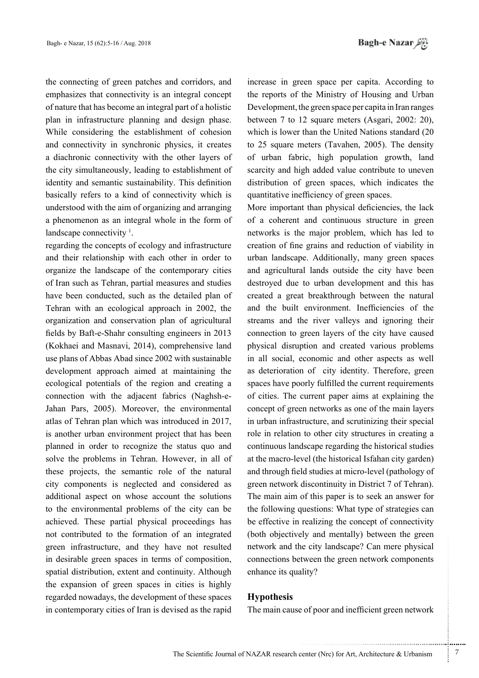Bagh-e Nazar

the connecting of green patches and corridors, and emphasizes that connectivity is an integral concept of nature that has become an integral part of a holistic plan in infrastructure planning and design phase. While considering the establishment of cohesion and connectivity in synchronic physics, it creates a diachronic connectivity with the other layers of the city simultaneously, leading to establishment of identity and semantic sustainability. This definition basically refers to a kind of connectivity which is understood with the aim of organizing and arranging a phenomenon as an integral whole in the form of landscape connectivity  $\frac{1}{2}$ .

regarding the concepts of ecology and infrastructure and their relationship with each other in order to organize the landscape of the contemporary cities of Iran such as Tehran, partial measures and studies have been conducted, such as the detailed plan of Tehran with an ecological approach in 2002, the organization and conservation plan of agricultural fields by Baft-e-Shahr consulting engineers in 2013 (Kokhaei and Masnavi, 2014), comprehensive land use plans of Abbas Abad since 2002 with sustainable development approach aimed at maintaining the ecological potentials of the region and creating a Jahan Pars, 2005). Moreover, the environmental connection with the adjacent fabrics (Naghsh-eatlas of Tehran plan which was introduced in 2017, is another urban environment project that has been planned in order to recognize the status quo and solve the problems in Tehran. However, in all of these projects, the semantic role of the natural city components is neglected and considered as additional aspect on whose account the solutions to the environmental problems of the city can be achieved. These partial physical proceedings has not contributed to the formation of an integrated green infrastructure, and they have not resulted in desirable green spaces in terms of composition, spatial distribution, extent and continuity. Although the expansion of green spaces in cities is highly regarded nowadays, the development of these spaces in contemporary cities of Iran is devised as the rapid

increase in green space per capita. According to the reports of the Ministry of Housing and Urban Development, the green space per capita in Iran ranges between  $7$  to 12 square meters (Asgari, 2002: 20), which is lower than the United Nations standard  $(20)$ to 25 square meters (Tavahen, 2005). The density of urban fabric, high population growth, land scarcity and high added value contribute to uneven distribution of green spaces, which indicates the quantitative inefficiency of green spaces.

More important than physical deficiencies, the lack of a coherent and continuous structure in green networks is the major problem, which has led to creation of fine grains and reduction of viability in urban landscape. Additionally, many green spaces and agricultural lands outside the city have been destroyed due to urban development and this has created a great breakthrough between the natural and the built environment. Inefficiencies of the streams and the river valleys and ignoring their connection to green layers of the city have caused physical disruption and created various problems in all social, economic and other aspects as well as deterioration of city identity. Therefore, green spaces have poorly fulfilled the current requirements of cities. The current paper aims at explaining the concept of green networks as one of the main layers in urban infrastructure, and scrutinizing their special role in relation to other city structures in creating a continuous landscape regarding the historical studies at the macro-level (the historical Isfahan city garden) and through field studies at micro-level (pathology of green network discontinuity in District 7 of Tehran). The main aim of this paper is to seek an answer for the following questions: What type of strategies can be effective in realizing the concept of connectivity (both objectively and mentally) between the green network and the city landscape? Can mere physical connections between the green network components enhance its quality?

## **Hypothesis**

The main cause of poor and inefficient green network

.......... ....... ........ ........... ...... ....... ........ .......... ...........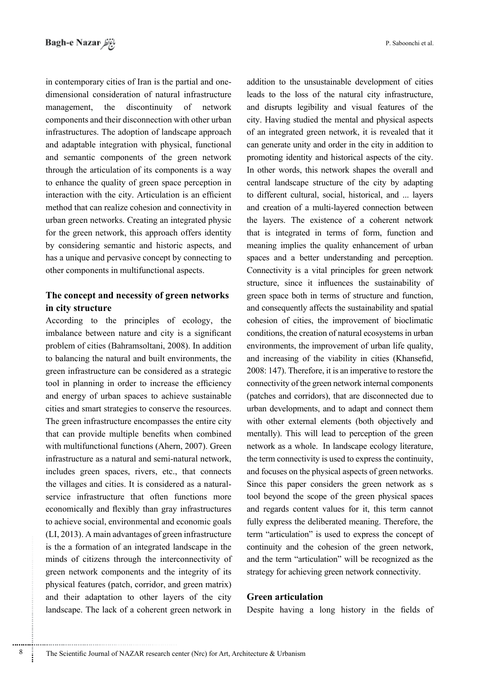dimensional consideration of natural infrastructure in contemporary cities of Iran is the partial and onemanagement, the discontinuity of network components and their disconnection with other urban infrastructures. The adoption of landscape approach and adaptable integration with physical, functional and semantic components of the green network through the articulation of its components is a way to enhance the quality of green space perception in interaction with the city. Articulation is an efficient method that can realize cohesion and connectivity in urban green networks. Creating an integrated physic for the green network, this approach offers identity by considering semantic and historic aspects, and has a unique and pervasive concept by connecting to other components in multifunctional aspects.

## The concept and necessity of green networks in city structure

According to the principles of ecology, the imbalance between nature and city is a significant problem of cities (Bahramsoltani, 2008). In addition to balancing the natural and built environments, the green infrastructure can be considered as a strategic tool in planning in order to increase the efficiency and energy of urban spaces to achieve sustainable cities and smart strategies to conserve the resources. The green infrastructure encompasses the entire city that can provide multiple benefits when combined with multifunctional functions (Ahern, 2007). Green infrastructure as a natural and semi-natural network, includes green spaces, rivers, etc., that connects service infrastructure that often functions more the villages and cities. It is considered as a naturaleconomically and flexibly than gray infrastructures to achieve social, environmental and economic goals  $(LI, 2013)$ . A main advantages of green infrastructure is the a formation of an integrated landscape in the minds of citizens through the interconnectivity of green network components and the integrity of its physical features (patch, corridor, and green matrix) and their adaptation to other layers of the city landscape. The lack of a coherent green network in addition to the unsustainable development of cities leads to the loss of the natural city infrastructure. and disrupts legibility and visual features of the city. Having studied the mental and physical aspects of an integrated green network, it is revealed that it can generate unity and order in the city in addition to promoting identity and historical aspects of the city. In other words, this network shapes the overall and central landscape structure of the city by adapting to different cultural, social, historical, and ... layers and creation of a multi-layered connection between the layers. The existence of a coherent network that is integrated in terms of form, function and meaning implies the quality enhancement of urban spaces and a better understanding and perception. Connectivity is a vital principles for green network structure, since it influences the sustainability of green space both in terms of structure and function. and consequently affects the sustainability and spatial cohesion of cities, the improvement of bioclimatic conditions, the creation of natural ecosystems in urban environments, the improvement of urban life quality, and increasing of the viability in cities (Khansefid,  $2008:147$ ). Therefore, it is an imperative to restore the connectivity of the green network internal components (patches and corridors), that are disconnected due to urban developments, and to adapt and connect them with other external elements (both objectively and mentally). This will lead to perception of the green network as a whole. In landscape ecology literature, the term connectivity is used to express the continuity, and focuses on the physical aspects of green networks. Since this paper considers the green network as s tool beyond the scope of the green physical spaces and regards content values for it, this term cannot fully express the deliberated meaning. Therefore, the term "articulation" is used to express the concept of continuity and the cohesion of the green network, and the term "articulation" will be recognized as the strategy for achieving green network connectivity.

## **Green** articulation

Despite having a long history in the fields of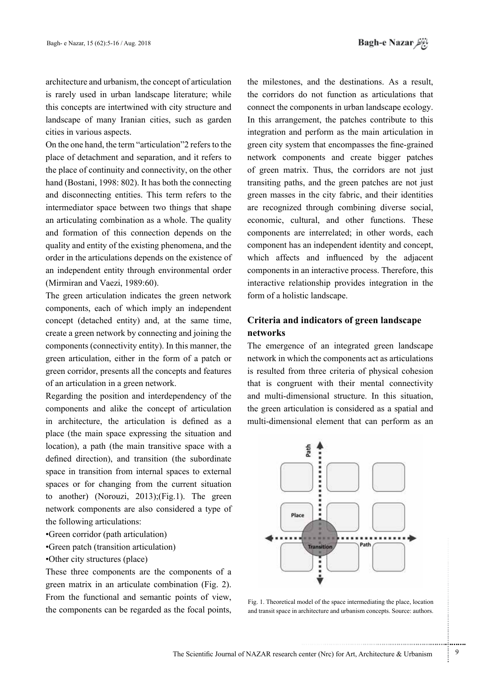architecture and urbanism, the concept of articulation is rarely used in urban landscape literature: while this concepts are intertwined with city structure and landscape of many Iranian cities, such as garden cities in various aspects.

On the one hand, the term "articulation" 2 refers to the place of detachment and separation, and it refers to the place of continuity and connectivity, on the other hand (Bostani, 1998: 802). It has both the connecting and disconnecting entities. This term refers to the intermediator space between two things that shape an articulating combination as a whole. The quality and formation of this connection depends on the quality and entity of the existing phenomena, and the order in the articulations depends on the existence of an independent entity through environmental order (Mirmiran and Vaezi,  $1989:60$ ).

The green articulation indicates the green network components, each of which imply an independent concept (detached entity) and, at the same time, create a green network by connecting and joining the components (connectivity entity). In this manner, the green articulation, either in the form of a patch or green corridor, presents all the concepts and features of an articulation in a green network.

Regarding the position and interdependency of the components and alike the concept of articulation in architecture, the articulation is defined as a place (the main space expressing the situation and location), a path (the main transitive space with a defined direction), and transition (the subordinate space in transition from internal spaces to external spaces or for changing from the current situation to another) (Norouzi, 2013);(Fig.1). The green network components are also considered a type of the following articulations:

- Green corridor (path articulation)
- Green patch (transition articulation)
- •Other city structures (place)

These three components are the components of a green matrix in an articulate combination (Fig. 2). From the functional and semantic points of view, the components can be regarded as the focal points, the milestones, and the destinations. As a result, the corridors do not function as articulations that connect the components in urban landscape ecology. In this arrangement, the patches contribute to this integration and perform as the main articulation in green city system that encompasses the fine-grained network components and create bigger patches of green matrix. Thus, the corridors are not just transiting paths, and the green patches are not just green masses in the city fabric, and their identities are recognized through combining diverse social, economic, cultural, and other functions. These components are interrelated; in other words, each component has an independent identity and concept, which affects and influenced by the adjacent components in an interactive process. Therefore, this interactive relationship provides integration in the form of a holistic landscape.

## **Criteria and indicators of green landscape networks**

The emergence of an integrated green landscape network in which the components act as articulations is resulted from three criteria of physical cohesion that is congruent with their mental connectivity and multi-dimensional structure. In this situation, the green articulation is considered as a spatial and multi-dimensional element that can perform as an



Fig. 1. Theoretical model of the space intermediating the place, location and transit space in architecture and urbanism concepts. Source: authors,

.......... ....... ........ ........... ...... ....... ........ .......... ...........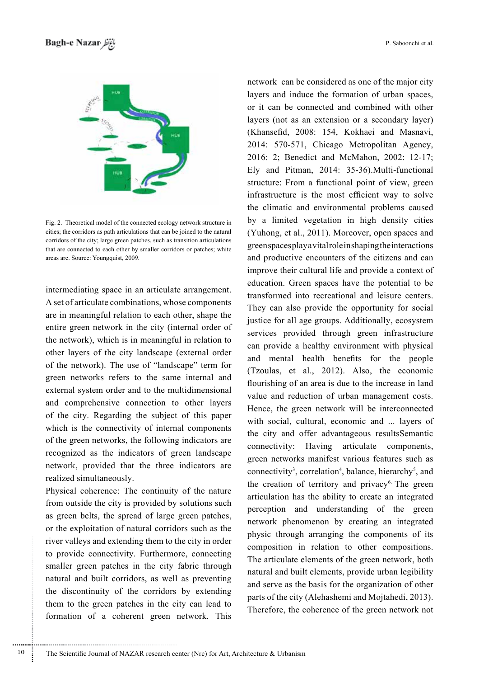

Fig. 2. Theoretical model of the connected ecology network structure in cities; the corridors as path articulations that can be joined to the natural corridors of the city; large green patches, such as transition articulations that are connected to each other by smaller corridors or patches; white areas are. Source: Youngquist, 2009.

intermediating space in an articulate arrangement. A set of articulate combinations, whose components are in meaningful relation to each other, shape the entire green network in the city (internal order of the network), which is in meaningful in relation to other layers of the city landscape (external order of the network). The use of "landscape" term for green networks refers to the same internal and external system order and to the multidimensional and comprehensive connection to other layers of the city. Regarding the subject of this paper which is the connectivity of internal components of the green networks, the following indicators are recognized as the indicators of green landscape network, provided that the three indicators are realized simultaneously.

Physical coherence: The continuity of the nature from outside the city is provided by solutions such as green belts, the spread of large green patches, or the exploitation of natural corridors such as the river valleys and extending them to the city in order to provide connectivity. Furthermore, connecting smaller green patches in the city fabric through natural and built corridors, as well as preventing the discontinuity of the corridors by extending them to the green patches in the city can lead to formation of a coherent green network. This

network can be considered as one of the major city lavers and induce the formation of urban spaces. or it can be connected and combined with other layers (not as an extension or a secondary layer) (Khansefid, 2008: 154, Kokhaei and Masnavi, 2014: 570-571, Chicago Metropolitan Agency, 2016: 2; Benedict and McMahon, 2002: 12-17; Ely and Pitman,  $2014: 35-36$ ). Multi-functional structure: From a functional point of view, green infrastructure is the most efficient way to solve the climatic and environmental problems caused by a limited vegetation in high density cities (Yuhong, et al., 2011). Moreover, open spaces and green spaces play a vital role in shaping the interactions and productive encounters of the citizens and can improve their cultural life and provide a context of education. Green spaces have the potential to be transformed into recreational and leisure centers. They can also provide the opportunity for social justice for all age groups. Additionally, ecosystem services provided through green infrastructure can provide a healthy environment with physical and mental health benefits for the people  $(Tzoulas, et al., 2012)$ . Also, the economic flourishing of an area is due to the increase in land value and reduction of urban management costs. Hence, the green network will be interconnected with social, cultural, economic and ... layers of the city and offer advantageous resultsSemantic connectivity: Having articulate components, green networks manifest various features such as connectivity<sup>3</sup>, correlation<sup>4</sup>, balance, hierarchy<sup>5</sup>, and the creation of territory and privacy<sup>6.</sup> The green articulation has the ability to create an integrated perception and understanding of the green network phenomenon by creating an integrated physic through arranging the components of its composition in relation to other compositions. The articulate elements of the green network, both natural and built elements, provide urban legibility and serve as the basis for the organization of other parts of the city (Alehashemi and Mojtahedi, 2013). Therefore, the coherence of the green network not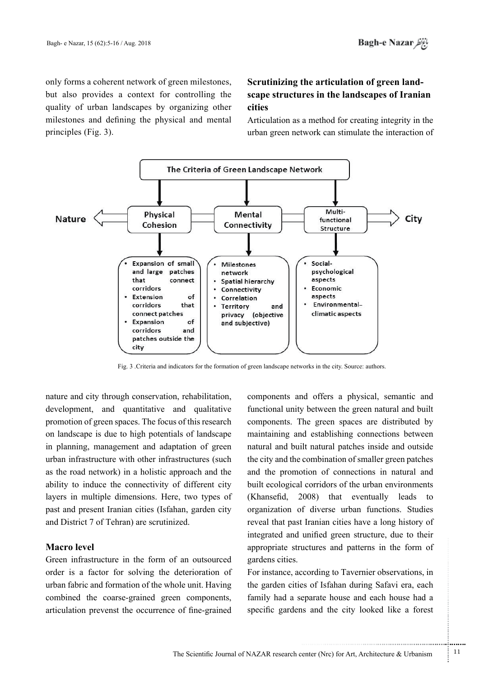only forms a coherent network of green milestones, but also provides a context for controlling the quality of urban landscapes by organizing other milestones and defining the physical and mental principles  $(Fig. 3)$ .

# **IFALE ITALE III IFALE III IIII IIIIIII IIIIIII IIIIII IIIIII IIIIII IIIIII IIIIII IIIIII IIIIII IIIIII IIIIII IIIIII IIIII IIIIII IIIII IIII IIIII IIIII IIII IIII IIII Scrutinizing the articulation of green landcities**

Articulation as a method for creating integrity in the urban green network can stimulate the interaction of



Fig. 3 .Criteria and indicators for the formation of green landscape networks in the city. Source: authors.

nature and city through conservation, rehabilitation, development, and quantitative and qualitative promotion of green spaces. The focus of this research on landscape is due to high potentials of landscape in planning, management and adaptation of green urban infrastructure with other infrastructures (such as the road network) in a holistic approach and the ability to induce the connectivity of different city layers in multiple dimensions. Here, two types of past and present Iranian cities (Isfahan, garden city and District 7 of Tehran) are scrutinized.

## **Macro** level

Green infrastructure in the form of an outsourced order is a factor for solving the deterioration of urban fabric and formation of the whole unit. Having combined the coarse-grained green components, articulation prevenst the occurrence of fine-grained

components and offers a physical, semantic and functional unity between the green natural and built components. The green spaces are distributed by. maintaining and establishing connections between natural and built natural patches inside and outside the city and the combination of smaller green patches and the promotion of connections in natural and built ecological corridors of the urban environments  $(Khansefid, 2008)$  that eventually leads to organization of diverse urban functions. Studies reveal that past Iranian cities have a long history of integrated and unified green structure, due to their appropriate structures and patterns in the form of gardens cities.

For instance, according to Tavernier observations, in the garden cities of Isfahan during Safavi era, each family had a separate house and each house had a specific gardens and the city looked like a forest

.......... ....... ........ ........... ...... ....... ........ .......... ...........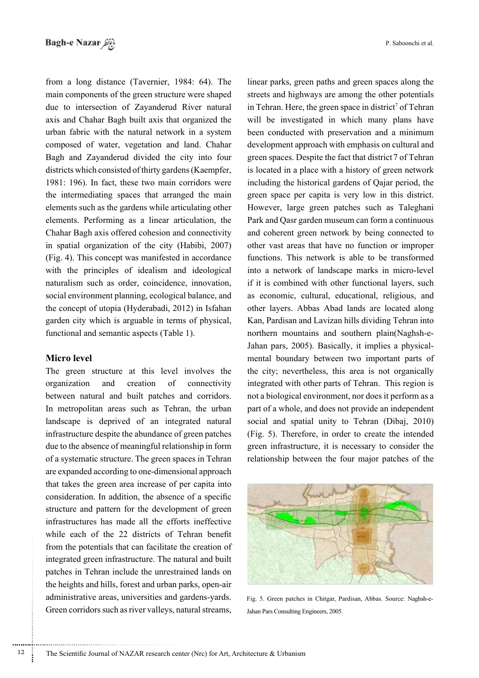from a long distance (Tavernier, 1984: 64). The main components of the green structure were shaped due to intersection of Zayanderud River natural axis and Chahar Bagh built axis that organized the urban fabric with the natural network in a system composed of water, vegetation and land. Chahar Bagh and Zayanderud divided the city into four districts which consisted of thirty gardens (Kaempfer, 1981: 196). In fact, these two main corridors were the intermediating spaces that arranged the main elements such as the gardens while articulating other elements. Performing as a linear articulation, the Chahar Bagh axis offered cohesion and connectivity in spatial organization of the city (Habibi, 2007)  $(Fig. 4)$ . This concept was manifested in accordance with the principles of idealism and ideological naturalism such as order, coincidence, innovation, social environment planning, ecological balance, and the concept of utopia (Hyderabadi, 2012) in Isfahan garden city which is arguable in terms of physical, functional and semantic aspects (Table 1).

## **Micro** level

The green structure at this level involves the organization and creation of connectivity between natural and built patches and corridors. In metropolitan areas such as Tehran, the urban landscape is deprived of an integrated natural infrastructure despite the abundance of green patches due to the absence of meaningful relationship in form of a systematic structure. The green spaces in Tehran are expanded according to one-dimensional approach that takes the green area increase of per capita into consideration. In addition, the absence of a specific structure and pattern for the development of green infrastructures has made all the efforts ineffective while each of the 22 districts of Tehran benefit from the potentials that can facilitate the creation of integrated green infrastructure. The natural and built patches in Tehran include the unrestrained lands on the heights and hills, forest and urban parks, open-air administrative areas, universities and gardens-yards. Green corridors such as river valleys, natural streams, linear parks, green paths and green spaces along the streets and highways are among the other potentials in Tehran. Here, the green space in district<sup>7</sup> of Tehran will be investigated in which many plans have been conducted with preservation and a minimum development approach with emphasis on cultural and green spaces. Despite the fact that district 7 of Tehran is located in a place with a history of green network including the historical gardens of Oajar period, the green space per capita is very low in this district. However, large green patches such as Taleghani Park and Qasr garden museum can form a continuous and coherent green network by being connected to other vast areas that have no function or improper functions. This network is able to be transformed into a network of landscape marks in micro-level if it is combined with other functional layers, such as economic, cultural, educational, religious, and other layers. Abbas Abad lands are located along Kan, Pardisan and Lavizan hills dividing Tehran into mental boundary between two important parts of Jahan pars, 2005). Basically, it implies a physicalnorthern mountains and southern plain (Naghsh-ethe city; nevertheless, this area is not organically integrated with other parts of Tehran. This region is not a biological environment, nor does it perform as a part of a whole, and does not provide an independent social and spatial unity to Tehran  $(Diba, 2010)$ (Fig. 5). Therefore, in order to create the intended green infrastructure, it is necessary to consider the relationship between the four major patches of the



Fig. 5. Green patches in Chitgar, Pardisan, Abbas. Source: Naghsh-e-<br>Jahan Pars Consulting Engineers, 2005.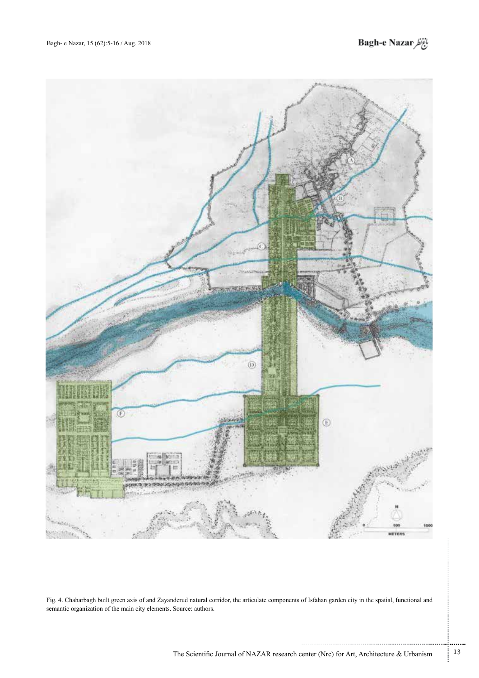



Fig. 4. Chaharbagh built green axis of and Zayanderud natural corridor, the articulate components of Isfahan garden city in the spatial, functional and semantic organization of the main city elements. Source: authors.

.......... ....... ........ ........... ...... ....... ........ .......... ...........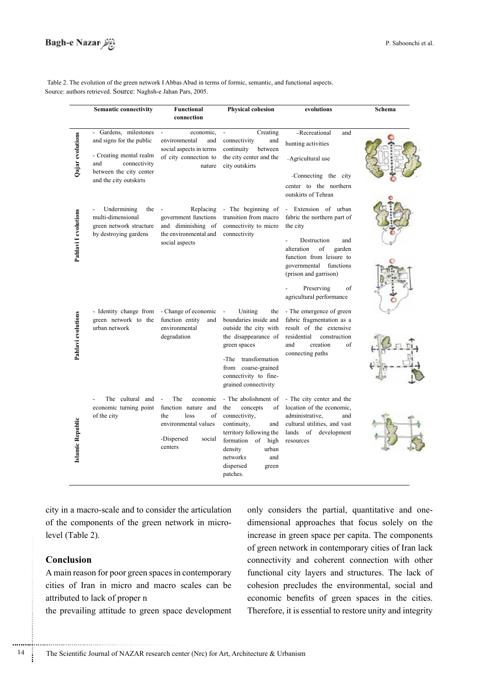Table 2. The evolution of the green network I Abbas Abad in terms of formic, semantic, and functional aspects. Source: authors retrieved. Source: Naghsh-e Jahan Pars, 2005.

|                      | <b>Semantic connectivity</b>                                                                                                                             | Functional<br>connection                                                                                                    | <b>Physical cohesion</b>                                                                                                                                                                                      | evolutions                                                                                                                                                                                                                                            | Schema |
|----------------------|----------------------------------------------------------------------------------------------------------------------------------------------------------|-----------------------------------------------------------------------------------------------------------------------------|---------------------------------------------------------------------------------------------------------------------------------------------------------------------------------------------------------------|-------------------------------------------------------------------------------------------------------------------------------------------------------------------------------------------------------------------------------------------------------|--------|
| Qajar evolutions     | - Gardens, milestones<br>and signs for the public<br>- Creating mental realm<br>connectivity<br>and<br>between the city center<br>and the city outskirts | economic,<br>$\overline{\phantom{a}}$<br>environmental<br>and<br>social aspects in terms<br>of city connection to<br>nature | Creating<br>connectivity<br>and<br>continuity<br>between<br>the city center and the<br>city outskirts                                                                                                         | -Recreational<br>and<br>hunting activities<br>-Agricultural use<br>-Connecting the city<br>center to the northern<br>outskirts of Tehran                                                                                                              |        |
| Pahlavi I evolutions | Undermining<br>the<br>multi-dimensional<br>green network structure<br>by destroying gardens                                                              | Replacing<br>government functions<br>and diminishing of<br>the environmental and<br>social aspects                          | - The beginning of<br>transition from macro<br>connectivity to micro<br>connectivity                                                                                                                          | - Extension of urban<br>fabric the northern part of<br>the city<br>Destruction<br>and<br>alteration<br>of<br>garden<br>function from leisure to<br>governmental<br>functions<br>(prison and garrison)<br>Preserving<br>of<br>agricultural performance |        |
| Pahlavi evolutions   | - Identity change from<br>green network to the<br>urban network                                                                                          | - Change of economic<br>function entity<br>and<br>environmental<br>degradation                                              | Uniting<br>the<br>boundaries inside and<br>outside the city with<br>the disappearance of<br>green spaces<br>-The transformation<br>from coarse-grained<br>connectivity to fine-<br>grained connectivity       | - The emergence of green<br>fabric fragmentation as a<br>result of the extensive<br>residential<br>construction<br>and<br>creation<br>of<br>connecting paths                                                                                          |        |
| slamic Republic      | The cultural and<br>economic turning point<br>of the city                                                                                                | The<br>economic<br>function nature and<br>the<br>loss<br>of<br>environmental values<br>-Dispersed<br>social<br>centers      | - The abolishment of<br>concepts<br>the<br>of<br>connectivity,<br>continuity,<br>and<br>territory following the<br>formation of high<br>urban<br>density<br>networks<br>and<br>dispersed<br>green<br>patches. | - The city center and the<br>location of the economic.<br>administrative,<br>and<br>cultural utilities, and vast<br>of<br>lands<br>development<br>resources                                                                                           |        |

city in a macro-scale and to consider the articulation of the components of the green network in micro-<br>level (Table 2).

## **Conclusion**

............................................................

A main reason for poor green spaces in contemporary cities of Iran in micro and macro scales can be attributed to lack of proper n

the prevailing attitude to green space development

dimensional approaches that focus solely on the only considers the partial, quantitative and oneincrease in green space per capita. The components of green network in contemporary cities of Iran lack connectivity and coherent connection with other functional city layers and structures. The lack of cohesion precludes the environmental, social and economic benefits of green spaces in the cities. Therefore, it is essential to restore unity and integrity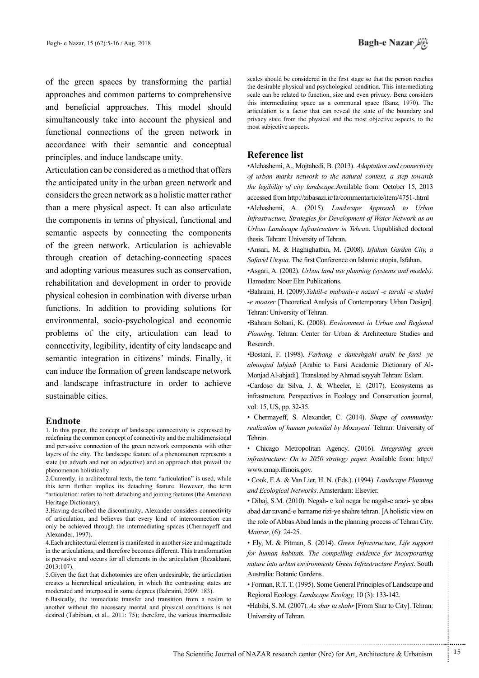of the green spaces by transforming the partial approaches and common patterns to comprehensive and beneficial approaches. This model should simultaneously take into account the physical and functional connections of the green network in accordance with their semantic and conceptual principles, and induce landscape unity.

Articulation can be considered as a method that offers the anticipated unity in the urban green network and considers the green network as a holistic matter rather than a mere physical aspect. It can also articulate the components in terms of physical, functional and semantic aspects by connecting the components of the green network. Articulation is achievable through creation of detaching-connecting spaces and adopting various measures such as conservation, rehabilitation and development in order to provide physical cohesion in combination with diverse urban functions. In addition to providing solutions for environmental, socio-psychological and economic problems of the city, articulation can lead to connectivity, legibility, identity of city landscape and semantic integration in citizens' minds. Finally, it can induce the formation of green landscape network and landscape infrastructure in order to achieve sustainable cities.

### **Endnote**

1. In this paper, the concept of landscape connectivity is expressed by redefining the common concept of connectivity and the multidimensional and pervasive connection of the green network components with other layers of the city. The landscape feature of a phenomenon represents a state (an adverb and not an adjective) and an approach that prevail the phenomenon holistically.

2. Currently, in architectural texts, the term "articulation" is used, while this term further implies its detaching feature. However, the term "articulation: refers to both detaching and joining features (the American Heritage Dictionary).

3. Having described the discontinuity, Alexander considers connectivity of articulation, and believes that every kind of interconnection can only be achieved through the intermediating spaces (Chermayeff and Alexander, 1997).

4. Each architectural element is manifested in another size and magnitude in the articulations, and therefore becomes different. This transformation is pervasive and occurs for all elements in the articulation (Rezakhani,  $2013:107$ .

5. Given the fact that dichotomies are often undesirable, the articulation creates a hierarchical articulation, in which the contrasting states are moderated and interposed in some degrees (Bahraini, 2009: 183).

 $6.$ Basically, the immediate transfer and transition from a realm to another without the necessary mental and physical conditions is not desired (Tabibian, et al., 2011: 75); therefore, the various intermediate

scales should be considered in the first stage so that the person reaches the desirable physical and psychological condition. This intermediating scale can be related to function, size and even privacy. Benz considers this intermediating space as a communal space (Banz, 1970). The articulation is a factor that can reveal the state of the boundary and privacy state from the physical and the most objective aspects, to the most subjective aspects.

#### **Reference** list

• Alehashemi, A., Mojtahedi, B. (2013). *Adaptation and connectivity* of urban marks network to the natural context, a step towards the legibility of city landscape.Available from: October 15, 2013 accessed from http://zibasazi.ir/fa/commentarticle/item/4751-.html

•Alehashemi, A. (2015). *Landscape Approach to Urban* Infrastructure, Strategies for Development of Water Network as an Urban Landscape Infrastructure in Tehran. Unpublished doctoral thesis. Tehran: University of Tehran.

*·Ansari, M. & Haghighatbin, M. (2008). Isfahan Garden City, a* Safavid Utopia. The first Conference on Islamic utopia, Isfahan.

•Asgari, A. (2002). *Urban land use planning (systems and models)*. Hamedan: Noor Elm Publications.

**•Bahraini**, H. (2009).*Tahlil-e mabaniy-e nazari -e tarahi -e shahri* -e moaser [Theoretical Analysis of Contemporary Urban Design]. Tehran: University of Tehran.

**•Bahram Soltani, K. (2008).** *Environment in Urban and Regional* Planning. Tehran: Center for Urban & Architecture Studies and .Research

**·Bostani**, F. (1998). Farhang- e daneshgahi arabi be farsi- ye almonjad labjadi [Arabic to Farsi Academic Dictionary of Al-<br>Monjad Al-abjadi]. Translated by Ahmad sayyah Tehran: Eslam.

•Cardoso da Silva, J. & Wheeler, E. (2017). Ecosystems as infrastructure. Perspectives in Ecology and Conservation journal, vol: 15, US, pp. 32-35.

• Chermayeff, S. Alexander, C. (2014). Shape of community: realization of human potential by Mozayeni. Tehran: University of .Tehran

• Chicago Metropolitan Agency. (2016). *Integrating green* infrastructure: On to 2050 strategy paper. Available from: http:// www.cmap.illinois.gov.

• Cook, E.A. & Van Lier, H. N. (Eds.). (1994). *Landscape Planning* .Elsevier :Amsterdam .*Networks Ecological and*

• Dibaj, S.M. (2010). Negah- e kol negar be nagsh-e arazi- ye abas abad dar ravand-e barname rizi-ye shahre tehran. [A holistic view on the role of Abbas Abad lands in the planning process of Tehran City. *Manzar*, (6): 24-25.

• Ely, M. & Pitman, S. (2014). Green Infrastructure, Life support *for human habitats. The compelling evidence for incorporating* nature into urban environments Green Infrastructure Project. South Australia: Botanic Gardens.

• Forman, R.T. T. (1995). Some General Principles of Landscape and Regional Ecology. *Landscape Ecology*, 10(3): 133-142.

•Habibi, S. M. (2007). Az shar ta shahr [From Shar to City]. Tehran: University of Tehran.

.......... ....... ........ ........... ...... ....... ........ .......... ...........